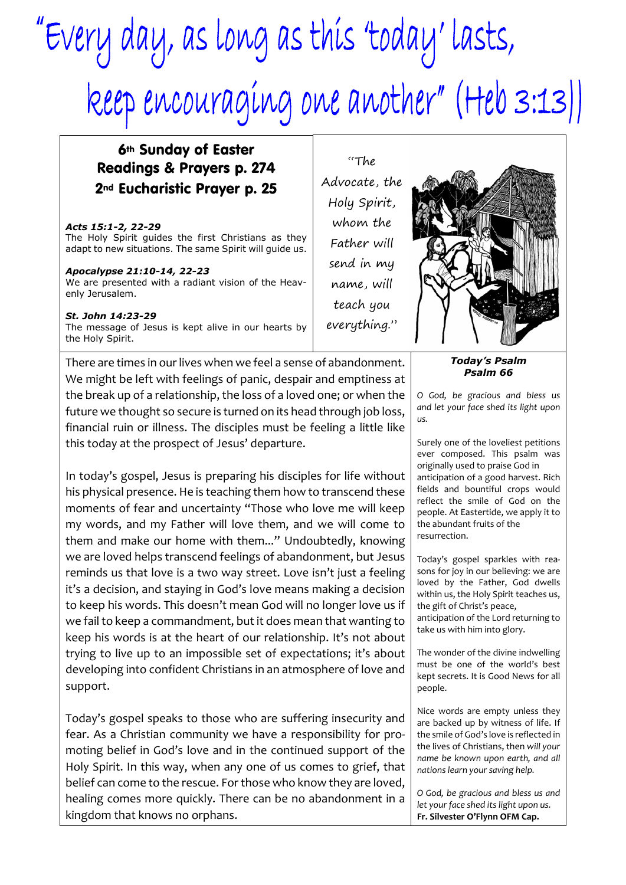# "Every day, as long as this 'today' lasts, keep encouraging one another" (Heb 3:13))

"The

# 6th Sunday of Easter Readings & Prayers p. 274 2nd Eucharistic Prayer p. 25

#### *Acts 15:1-2, 22-29* The Holy Spirit guides the first Christians as they adapt to new situations. The same Spirit will guide us.

## *Apocalypse 21:10-14, 22-23*

We are presented with a radiant vision of the Heavenly Jerusalem.

### *St. John 14:23-29*

The message of Jesus is kept alive in our hearts by the Holy Spirit.

There are times in our lives when we feel a sense of abandonment. We might be left with feelings of panic, despair and emptiness at the break up of a relationship, the loss of a loved one; or when the future we thought so secure is turned on its head through job loss, financial ruin or illness. The disciples must be feeling a little like this today at the prospect of Jesus' departure.

In today's gospel, Jesus is preparing his disciples for life without his physical presence. He is teaching them how to transcend these moments of fear and uncertainty "Those who love me will keep my words, and my Father will love them, and we will come to them and make our home with them..." Undoubtedly, knowing we are loved helps transcend feelings of abandonment, but Jesus reminds us that love is a two way street. Love isn't just a feeling it's a decision, and staying in God's love means making a decision to keep his words. This doesn't mean God will no longer love us if we fail to keep a commandment, but it does mean that wanting to keep his words is at the heart of our relationship. It's not about trying to live up to an impossible set of expectations; it's about developing into confident Christians in an atmosphere of love and support.

Today's gospel speaks to those who are suffering insecurity and fear. As a Christian community we have a responsibility for promoting belief in God's love and in the continued support of the Holy Spirit. In this way, when any one of us comes to grief, that belief can come to the rescue. For those who know they are loved, healing comes more quickly. There can be no abandonment in a kingdom that knows no orphans.

Advocate, the Holy Spirit, whom the Father will send in my name, will teach you everything."

> *Today's Psalm Psalm 66*

*O God, be gracious and bless us and let your face shed its light upon us.*

Surely one of the loveliest petitions ever composed. This psalm was originally used to praise God in anticipation of a good harvest. Rich fields and bountiful crops would reflect the smile of God on the people. At Eastertide, we apply it to the abundant fruits of the resurrection.

Today's gospel sparkles with reasons for joy in our believing: we are loved by the Father, God dwells within us, the Holy Spirit teaches us, the gift of Christ's peace, anticipation of the Lord returning to take us with him into glory.

The wonder of the divine indwelling must be one of the world's best kept secrets. It is Good News for all people.

Nice words are empty unless they are backed up by witness of life. If the smile of God's love is reflected in the lives of Christians, then *will your name be known upon earth, and all nations learn your saving help.*

*O God, be gracious and bless us and let your face shed its light upon us.* **Fr. Silvester O'Flynn OFM Cap.**